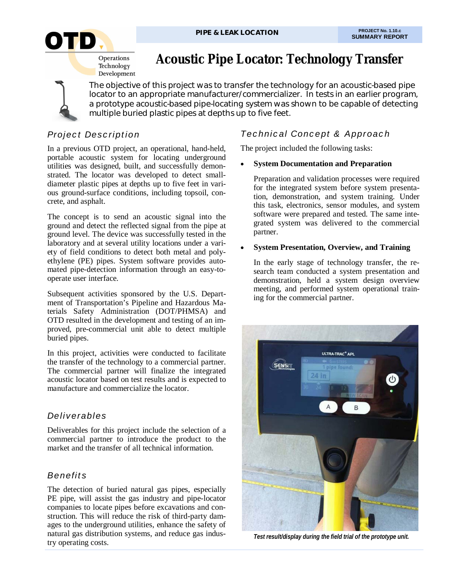

# **Acoustic Pipe Locator: Technology Transfer**

The objective of this project was to transfer the technology for an acoustic-based pipe locator to an appropriate manufacturer/commercializer. In tests in an earlier program, a prototype acoustic-based pipe-locating system was shown to be capable of detecting multiple buried plastic pipes at depths up to five feet.

## *Project Description*

In a previous OTD project, an operational, hand-held, portable acoustic system for locating underground utilities was designed, built, and successfully demonstrated. The locator was developed to detect smalldiameter plastic pipes at depths up to five feet in various ground-surface conditions, including topsoil, concrete, and asphalt.

The concept is to send an acoustic signal into the ground and detect the reflected signal from the pipe at ground level. The device was successfully tested in the laboratory and at several utility locations under a variety of field conditions to detect both metal and polyethylene (PE) pipes. System software provides automated pipe-detection information through an easy-tooperate user interface.

Subsequent activities sponsored by the U.S. Department of Transportation's Pipeline and Hazardous Materials Safety Administration (DOT/PHMSA) and OTD resulted in the development and testing of an improved, pre-commercial unit able to detect multiple buried pipes.

In this project, activities were conducted to facilitate the transfer of the technology to a commercial partner. The commercial partner will finalize the integrated acoustic locator based on test results and is expected to manufacture and commercialize the locator.

### *Deliverables*

Deliverables for this project include the selection of a commercial partner to introduce the product to the market and the transfer of all technical information.

# *Benefits*

The detection of buried natural gas pipes, especially PE pipe, will assist the gas industry and pipe-locator companies to locate pipes before excavations and construction. This will reduce the risk of third-party damages to the underground utilities, enhance the safety of natural gas distribution systems, and reduce gas industry operating costs.

# *Technical Concept & Approach*

The project included the following tasks:

#### **System Documentation and Preparation**

Preparation and validation processes were required for the integrated system before system presentation, demonstration, and system training. Under this task, electronics, sensor modules, and system software were prepared and tested. The same integrated system was delivered to the commercial partner.

#### **System Presentation, Overview, and Training**

In the early stage of technology transfer, the research team conducted a system presentation and demonstration, held a system design overview meeting, and performed system operational training for the commercial partner.



*Test result/display during the field trial of the prototype unit.*